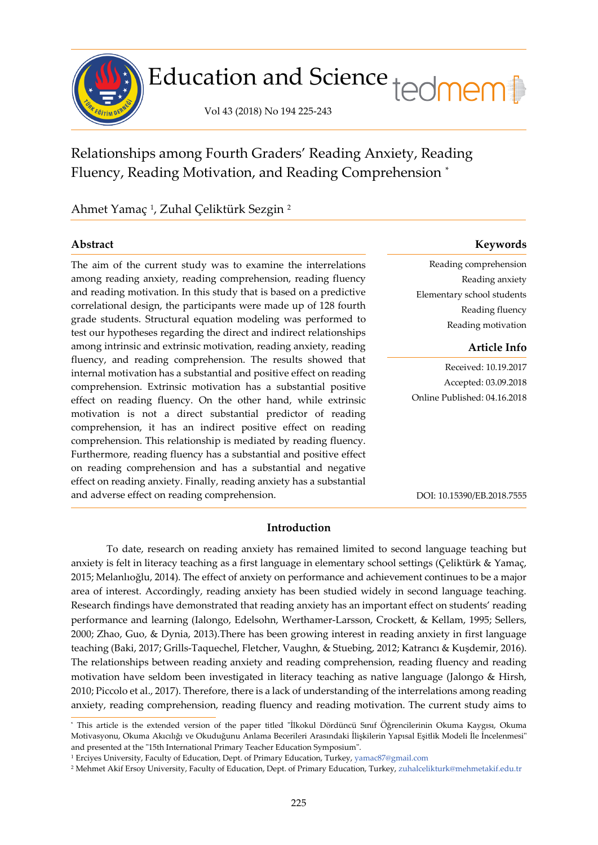

# Education and Science tedmem<sup>1</sup>

Vol 43 (2018) No 194 225-243

Relationships among Fourth Graders' Reading Anxiety, Reading Fluency, Reading Motivation, and Reading Comprehension [\\*](#page-0-0)

Ahmet Yamaç [1](#page-0-1) , Zuhal Çeliktürk Sezgin [2](#page-0-2)

The aim of the current study was to examine the interrelations among reading anxiety, reading comprehension, reading fluency and reading motivation. In this study that is based on a predictive correlational design, the participants were made up of 128 fourth grade students. Structural equation modeling was performed to test our hypotheses regarding the direct and indirect relationships among intrinsic and extrinsic motivation, reading anxiety, reading fluency, and reading comprehension. The results showed that internal motivation has a substantial and positive effect on reading comprehension. Extrinsic motivation has a substantial positive effect on reading fluency. On the other hand, while extrinsic motivation is not a direct substantial predictor of reading comprehension, it has an indirect positive effect on reading comprehension. This relationship is mediated by reading fluency. Furthermore, reading fluency has a substantial and positive effect on reading comprehension and has a substantial and negative effect on reading anxiety. Finally, reading anxiety has a substantial and adverse effect on reading comprehension.

# **Abstract Keywords**

Reading comprehension Reading anxiety Elementary school students Reading fluency Reading motivation

# **Article Info**

Received: 10.19.2017 Accepted: 03.09.2018 Online Published: 04.16.2018

DOI: 10.15390/EB.2018.7555

# **Introduction**

To date, research on reading anxiety has remained limited to second language teaching but anxiety is felt in literacy teaching as a first language in elementary school settings (Çeliktürk & Yamaç, 2015; Melanlıoğlu, 2014). The effect of anxiety on performance and achievement continues to be a major area of interest. Accordingly, reading anxiety has been studied widely in second language teaching. Research findings have demonstrated that reading anxiety has an important effect on students' reading performance and learning (Ialongo, Edelsohn, Werthamer-Larsson, Crockett, & Kellam, 1995; Sellers, 2000; Zhao, Guo, & Dynia, 2013).There has been growing interest in reading anxiety in first language teaching (Baki, 2017; Grills-Taquechel, Fletcher, Vaughn, & Stuebing, 2012; Katrancı & Kuşdemir, 2016). The relationships between reading anxiety and reading comprehension, reading fluency and reading motivation have seldom been investigated in literacy teaching as native language (Jalongo & Hirsh, 2010; Piccolo et al., 2017). Therefore, there is a lack of understanding of the interrelations among reading anxiety, reading comprehension, reading fluency and reading motivation. The current study aims to

<span id="page-0-0"></span><sup>\*</sup> This article is the extended version of the paper titled "İlkokul Dördüncü Sınıf Öğrencilerinin Okuma Kaygısı, Okuma Motivasyonu, Okuma Akıcılığı ve Okuduğunu Anlama Becerileri Arasındaki İlişkilerin Yapısal Eşitlik Modeli İle İncelenmesi" and presented at the "15th International Primary Teacher Education Symposium".

<span id="page-0-1"></span><sup>1</sup> Erciyes University, Faculty of Education, Dept. of Primary Education, Turkey, [yamac87@gmail.com](mailto:yamac87@gmail.com)

<span id="page-0-2"></span><sup>2</sup> Mehmet Akif Ersoy University, Faculty of Education, Dept. of Primary Education, Turkey, [zuhalcelikturk@mehmetakif.edu.tr](mailto:zuhalcelikturk@mehmetakif.edu.tr)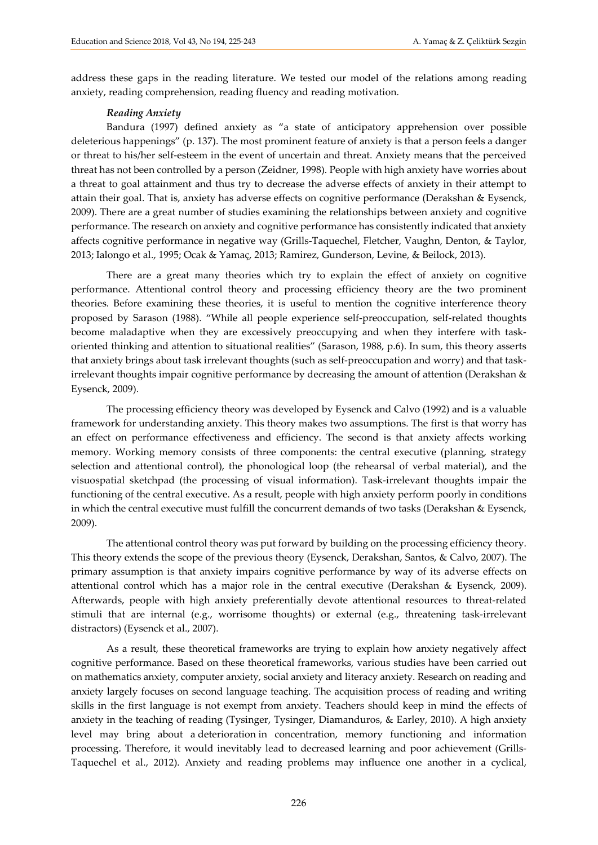address these gaps in the reading literature. We tested our model of the relations among reading anxiety, reading comprehension, reading fluency and reading motivation.

#### *Reading Anxiety*

Bandura (1997) defined anxiety as "a state of anticipatory apprehension over possible deleterious happenings" (p. 137). The most prominent feature of anxiety is that a person feels a danger or threat to his/her self-esteem in the event of uncertain and threat. Anxiety means that the perceived threat has not been controlled by a person (Zeidner, 1998). People with high anxiety have worries about a threat to goal attainment and thus try to decrease the adverse effects of anxiety in their attempt to attain their goal. That is, anxiety has adverse effects on cognitive performance (Derakshan & Eysenck, 2009). There are a great number of studies examining the relationships between anxiety and cognitive performance. The research on anxiety and cognitive performance has consistently indicated that anxiety affects cognitive performance in negative way (Grills-Taquechel, Fletcher, Vaughn, Denton, & Taylor, 2013; Ialongo et al., 1995; Ocak & Yamaç, 2013; Ramirez, Gunderson, Levine, & Beilock, 2013).

There are a great many theories which try to explain the effect of anxiety on cognitive performance. Attentional control theory and processing efficiency theory are the two prominent theories. Before examining these theories, it is useful to mention the cognitive interference theory proposed by Sarason (1988). "While all people experience self-preoccupation, self-related thoughts become maladaptive when they are excessively preoccupying and when they interfere with taskoriented thinking and attention to situational realities" (Sarason, 1988, p.6). In sum, this theory asserts that anxiety brings about task irrelevant thoughts (such as self-preoccupation and worry) and that taskirrelevant thoughts impair cognitive performance by decreasing the amount of attention (Derakshan & Eysenck, 2009).

The processing efficiency theory was developed by Eysenck and Calvo (1992) and is a valuable framework for understanding anxiety. This theory makes two assumptions. The first is that worry has an effect on performance effectiveness and efficiency. The second is that anxiety affects working memory. Working memory consists of three components: the central executive (planning, strategy selection and attentional control), the phonological loop (the rehearsal of verbal material), and the visuospatial sketchpad (the processing of visual information). Task-irrelevant thoughts impair the functioning of the central executive. As a result, people with high anxiety perform poorly in conditions in which the central executive must fulfill the concurrent demands of two tasks (Derakshan & Eysenck, 2009).

The attentional control theory was put forward by building on the processing efficiency theory. This theory extends the scope of the previous theory (Eysenck, Derakshan, Santos, & Calvo, 2007). The primary assumption is that anxiety impairs cognitive performance by way of its adverse effects on attentional control which has a major role in the central executive (Derakshan & Eysenck, 2009). Afterwards, people with high anxiety preferentially devote attentional resources to threat-related stimuli that are internal (e.g., worrisome thoughts) or external (e.g., threatening task-irrelevant distractors) (Eysenck et al., 2007).

As a result, these theoretical frameworks are trying to explain how anxiety negatively affect cognitive performance. Based on these theoretical frameworks, various studies have been carried out on mathematics anxiety, computer anxiety, social anxiety and literacy anxiety. Research on reading and anxiety largely focuses on second language teaching. The acquisition process of reading and writing skills in the first language is not exempt from anxiety. Teachers should keep in mind the effects of anxiety in the teaching of reading (Tysinger, Tysinger, Diamanduros, & Earley, 2010). A high anxiety level may bring about a deterioration in concentration, memory functioning and information processing. Therefore, it would inevitably lead to decreased learning and poor achievement (Grills-Taquechel et al., 2012). Anxiety and reading problems may influence one another in a cyclical,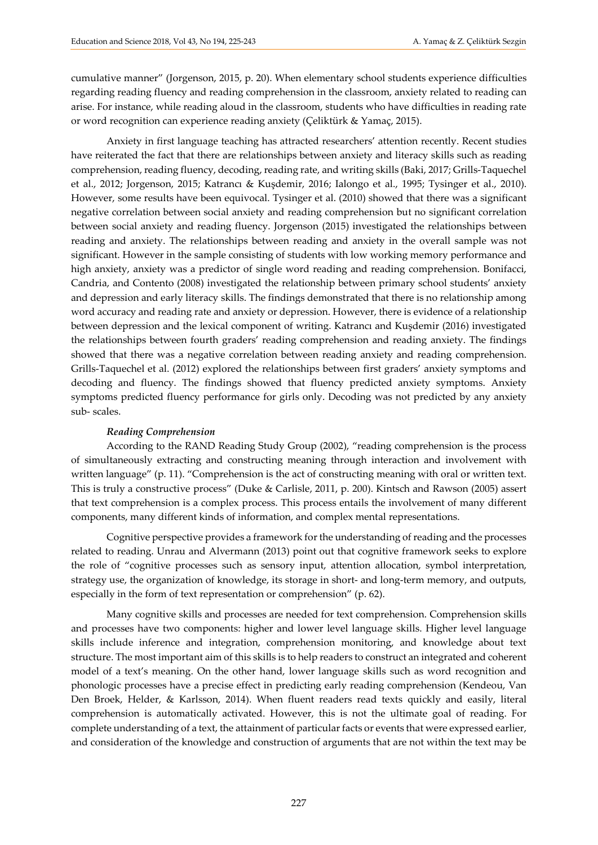cumulative manner" (Jorgenson, 2015, p. 20). When elementary school students experience difficulties regarding reading fluency and reading comprehension in the classroom, anxiety related to reading can arise. For instance, while reading aloud in the classroom, students who have difficulties in reading rate or word recognition can experience reading anxiety (Çeliktürk & Yamaç, 2015).

Anxiety in first language teaching has attracted researchers' attention recently. Recent studies have reiterated the fact that there are relationships between anxiety and literacy skills such as reading comprehension, reading fluency, decoding, reading rate, and writing skills (Baki, 2017; Grills-Taquechel et al., 2012; Jorgenson, 2015; Katrancı & Kuşdemir, 2016; Ialongo et al., 1995; Tysinger et al., 2010). However, some results have been equivocal. Tysinger et al. (2010) showed that there was a significant negative correlation between social anxiety and reading comprehension but no significant correlation between social anxiety and reading fluency. Jorgenson (2015) investigated the relationships between reading and anxiety. The relationships between reading and anxiety in the overall sample was not significant. However in the sample consisting of students with low working memory performance and high anxiety, anxiety was a predictor of single word reading and reading comprehension. Bonifacci, Candria, and Contento (2008) investigated the relationship between primary school students' anxiety and depression and early literacy skills. The findings demonstrated that there is no relationship among word accuracy and reading rate and anxiety or depression. However, there is evidence of a relationship between depression and the lexical component of writing. Katrancı and Kuşdemir (2016) investigated the relationships between fourth graders' reading comprehension and reading anxiety. The findings showed that there was a negative correlation between reading anxiety and reading comprehension. Grills-Taquechel et al. (2012) explored the relationships between first graders' anxiety symptoms and decoding and fluency. The findings showed that fluency predicted anxiety symptoms. Anxiety symptoms predicted fluency performance for girls only. Decoding was not predicted by any anxiety sub- scales.

#### *Reading Comprehension*

According to the RAND Reading Study Group (2002), "reading comprehension is the process of simultaneously extracting and constructing meaning through interaction and involvement with written language" (p. 11). "Comprehension is the act of constructing meaning with oral or written text. This is truly a constructive process" (Duke & Carlisle, 2011, p. 200). Kintsch and Rawson (2005) assert that text comprehension is a complex process. This process entails the involvement of many different components, many different kinds of information, and complex mental representations.

Cognitive perspective provides a framework for the understanding of reading and the processes related to reading. Unrau and Alvermann (2013) point out that cognitive framework seeks to explore the role of "cognitive processes such as sensory input, attention allocation, symbol interpretation, strategy use, the organization of knowledge, its storage in short- and long-term memory, and outputs, especially in the form of text representation or comprehension" (p. 62).

Many cognitive skills and processes are needed for text comprehension. Comprehension skills and processes have two components: higher and lower level language skills. Higher level language skills include inference and integration, comprehension monitoring, and knowledge about text structure. The most important aim of this skills is to help readers to construct an integrated and coherent model of a text's meaning. On the other hand, lower language skills such as word recognition and phonologic processes have a precise effect in predicting early reading comprehension (Kendeou, Van Den Broek, Helder, & Karlsson, 2014). When fluent readers read texts quickly and easily, literal comprehension is automatically activated. However, this is not the ultimate goal of reading. For complete understanding of a text, the attainment of particular facts or events that were expressed earlier, and consideration of the knowledge and construction of arguments that are not within the text may be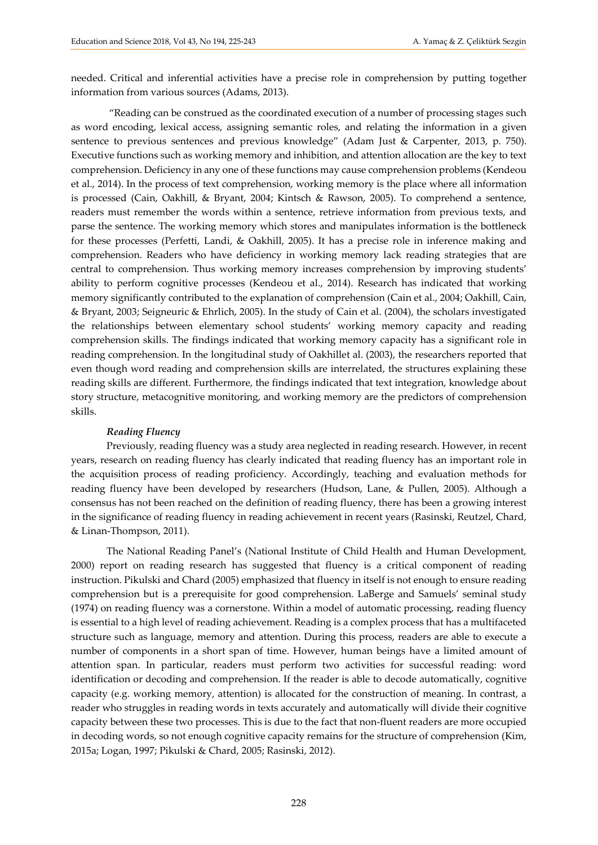needed. Critical and inferential activities have a precise role in comprehension by putting together information from various sources (Adams, 2013).

"Reading can be construed as the coordinated execution of a number of processing stages such as word encoding, lexical access, assigning semantic roles, and relating the information in a given sentence to previous sentences and previous knowledge" (Adam Just & Carpenter, 2013, p. 750). Executive functions such as working memory and inhibition, and attention allocation are the key to text comprehension. Deficiency in any one of these functions may cause comprehension problems (Kendeou et al., 2014). In the process of text comprehension, working memory is the place where all information is processed (Cain, Oakhill, & Bryant, 2004; Kintsch & Rawson, 2005). To comprehend a sentence, readers must remember the words within a sentence, retrieve information from previous texts, and parse the sentence. The working memory which stores and manipulates information is the bottleneck for these processes (Perfetti, Landi, & Oakhill, 2005). It has a precise role in inference making and comprehension. Readers who have deficiency in working memory lack reading strategies that are central to comprehension. Thus working memory increases comprehension by improving students' ability to perform cognitive processes (Kendeou et al., 2014). Research has indicated that working memory significantly contributed to the explanation of comprehension (Cain et al., 2004; Oakhill, Cain, & Bryant, 2003; Seigneuric & Ehrlich, 2005). In the study of Cain et al. (2004), the scholars investigated the relationships between elementary school students' working memory capacity and reading comprehension skills. The findings indicated that working memory capacity has a significant role in reading comprehension. In the longitudinal study of Oakhillet al. (2003), the researchers reported that even though word reading and comprehension skills are interrelated, the structures explaining these reading skills are different. Furthermore, the findings indicated that text integration, knowledge about story structure, metacognitive monitoring, and working memory are the predictors of comprehension skills.

#### *Reading Fluency*

Previously, reading fluency was a study area neglected in reading research. However, in recent years, research on reading fluency has clearly indicated that reading fluency has an important role in the acquisition process of reading proficiency. [Accordingly,](http://tureng.com/tr/turkce-ingilizce/accordingly) teaching and evaluation methods for reading fluency have been developed by researchers (Hudson, Lane, & Pullen, 2005). Although a consensus has not been reached on the definition of reading fluency, there has been a growing interest in the significance of reading fluency in reading achievement in recent years (Rasinski, Reutzel, Chard, & Linan-Thompson, 2011).

The National Reading Panel's (National Institute of Child Health and Human Development, 2000) report on reading research has suggested that fluency is a critical component of reading instruction. Pikulski and Chard (2005) emphasized that fluency in itself is not enough to ensure reading comprehension but is a prerequisite for good comprehension. LaBerge and Samuels' seminal study (1974) on reading fluency was a cornerstone. Within a model of automatic processing, reading fluency is essential to a high level of reading achievement. Reading is a complex process that has a multifaceted structure such as language, memory and attention. During this process, readers are able to execute a number of components in a short span of time. However, human beings have a limited amount of attention span. In particular, readers must perform two activities for successful reading: word identification or decoding and comprehension. If the reader is able to decode automatically, cognitive capacity (e.g. working memory, attention) is allocated for the construction of meaning. In contrast, a reader who struggles in reading words in texts accurately and automatically will divide their cognitive capacity between these two processes. This is due to the fact that non-fluent readers are more occupied in decoding words, so not enough cognitive capacity remains for the structure of comprehension (Kim, 2015a; Logan, 1997; Pikulski & Chard, 2005; Rasinski, 2012).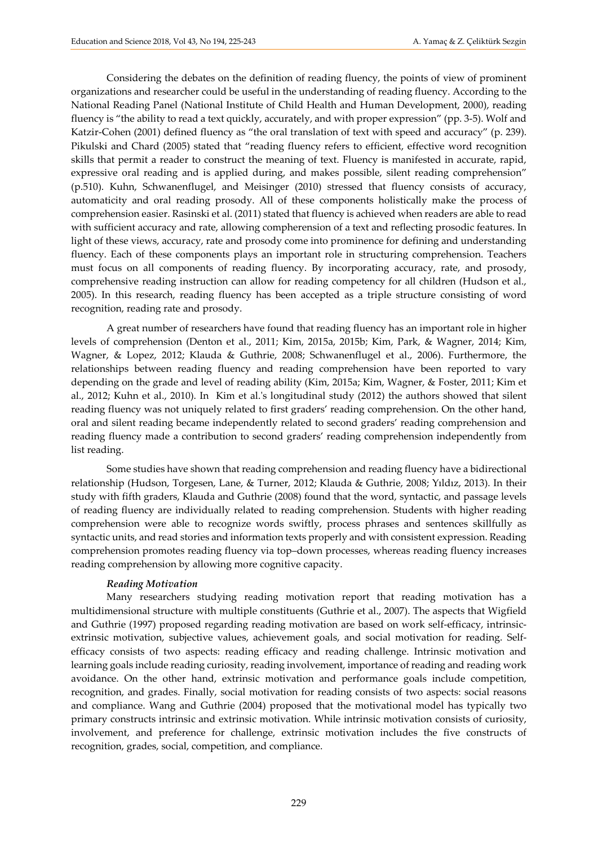Considering the debates on the definition of reading fluency, the points of view of prominent organizations and researcher could be useful in the understanding of reading fluency. According to the National Reading Panel (National Institute of Child Health and Human Development, 2000), reading fluency is "the ability to read a text quickly, accurately, and with proper expression" (pp. 3-5). Wolf and Katzir-Cohen (2001) defined fluency as "the oral translation of text with speed and accuracy" (p. 239). Pikulski and Chard (2005) stated that "reading fluency refers to efficient, effective word recognition skills that permit a reader to construct the meaning of text. Fluency is manifested in accurate, rapid, expressive oral reading and is applied during, and makes possible, silent reading comprehension" (p.510). Kuhn, Schwanenflugel, and Meisinger (2010) stressed that fluency consists of accuracy, automaticity and oral reading prosody. All of these components holistically make the process of comprehension easier. Rasinski et al. (2011) stated that fluency is achieved when readers are able to read with sufficient accuracy and rate, allowing compherension of a text and reflecting prosodic features. In light of these views, accuracy, rate and prosody come into prominence for defining and understanding fluency. Each of these components plays an important role in structuring comprehension. Teachers must focus on all components of reading fluency. By incorporating accuracy, rate, and prosody, comprehensive reading instruction can allow for reading competency for all children (Hudson et al., 2005). In this research, reading fluency has been accepted as a triple structure consisting of word recognition, reading rate and prosody.

A great number of researchers have found that reading fluency has an important role in higher levels of comprehension (Denton et al., 2011; Kim, 2015a, 2015b; Kim, Park, & Wagner, 2014; Kim, Wagner, & Lopez, 2012; Klauda & Guthrie, 2008; Schwanenflugel et al., 2006). Furthermore, the relationships between reading fluency and reading comprehension have been reported to vary depending on the grade and level of reading ability (Kim, 2015a; Kim, Wagner, & Foster, 2011; Kim et al., 2012; Kuhn et al., 2010). In Kim et al.'s longitudinal study (2012) the authors showed that silent reading fluency was not uniquely related to first graders' reading comprehension. On the other hand, oral and silent reading became independently related to second graders' reading comprehension and reading fluency made a contribution to second graders' reading comprehension independently from list reading.

Some studies have shown that reading comprehension and reading fluency have a bidirectional relationship (Hudson, Torgesen, Lane, & Turner, 2012; Klauda & Guthrie, 2008; Yıldız, 2013). In their study with fifth graders, Klauda and Guthrie (2008) found that the word, syntactic, and passage levels of reading fluency are individually related to reading comprehension. Students with higher reading comprehension were able to recognize words swiftly, process phrases and sentences skillfully as syntactic units, and read stories and information texts properly and with consistent expression. Reading comprehension promotes reading fluency via top–down processes, whereas reading fluency increases reading comprehension by allowing more cognitive capacity.

#### *Reading Motivation*

Many researchers studying reading motivation report that reading motivation has a multidimensional structure with multiple constituents (Guthrie et al., 2007). The aspects that Wigfield and Guthrie (1997) proposed regarding reading motivation are based on work self-efficacy, intrinsicextrinsic motivation, subjective values, achievement goals, and social motivation for reading. Selfefficacy consists of two aspects: reading efficacy and reading challenge. Intrinsic motivation and learning goals include reading curiosity, reading involvement, importance of reading and reading work avoidance. On the other hand, extrinsic motivation and performance goals include competition, recognition, and grades. Finally, social motivation for reading consists of two aspects: social reasons and compliance. Wang and Guthrie (2004) proposed that the motivational model has typically two primary constructs intrinsic and extrinsic motivation. While intrinsic motivation consists of curiosity, involvement, and preference for challenge, extrinsic motivation includes the five constructs of recognition, grades, social, competition, and compliance.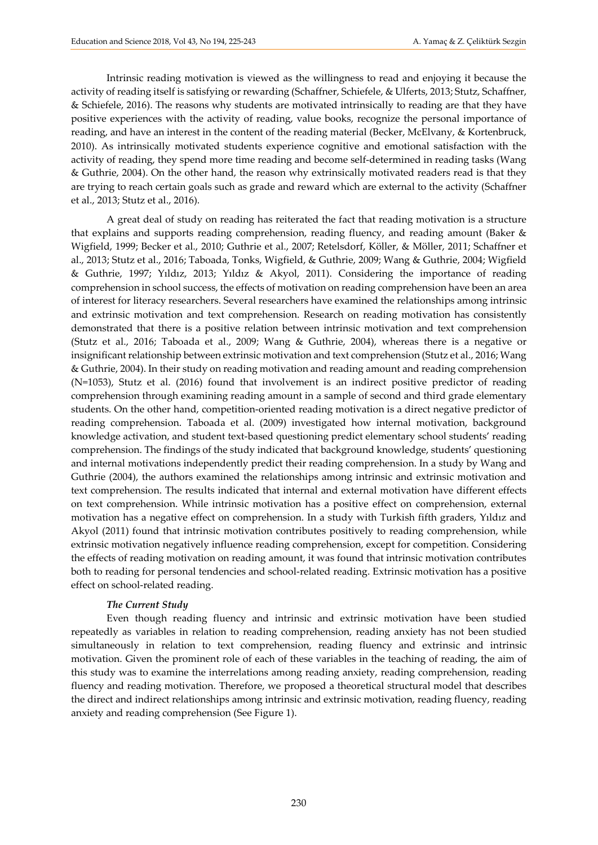Intrinsic reading motivation is viewed as the willingness to read and enjoying it because the activity of reading itself is satisfying or rewarding (Schaffner, Schiefele, & Ulferts, 2013; Stutz, Schaffner, & Schiefele, 2016). The reasons why students are motivated intrinsically to reading are that they have positive experiences with the activity of reading, value books, recognize the personal importance of reading, and have an interest in the content of the reading material (Becker, McElvany, & Kortenbruck, 2010). As intrinsically motivated students experience cognitive and emotional satisfaction with the activity of reading, they spend more time reading and become self-determined in reading tasks (Wang & Guthrie, 2004). On the other hand, the reason why extrinsically motivated readers read is that they are trying to reach certain goals such as grade and reward which are external to the activity (Schaffner et al., 2013; Stutz et al., 2016).

A great deal of study on reading has reiterated the fact that reading motivation is a structure that explains and supports reading comprehension, reading fluency, and reading amount (Baker & Wigfield, 1999; Becker et al., 2010; Guthrie et al., 2007; Retelsdorf, Köller, & Möller, 2011; Schaffner et al., 2013; Stutz et al., 2016; Taboada, Tonks, Wigfield, & Guthrie, 2009; Wang & Guthrie, 2004; Wigfield & Guthrie, 1997; Yıldız, 2013; Yıldız & Akyol, 2011). Considering the importance of reading comprehension in school success, the effects of motivation on reading comprehension have been an area of interest for literacy researchers. Several researchers have examined the relationships among intrinsic and extrinsic motivation and text comprehension. Research on reading motivation has consistently demonstrated that there is a positive relation between intrinsic motivation and text comprehension (Stutz et al., 2016; Taboada et al., 2009; Wang & Guthrie, 2004), whereas there is a negative or insignificant relationship between extrinsic motivation and text comprehension (Stutz et al., 2016; Wang & Guthrie, 2004). In their study on reading motivation and reading amount and reading comprehension (N=1053), Stutz et al. (2016) found that involvement is an indirect positive predictor of reading comprehension through examining reading amount in a sample of second and third grade elementary students. On the other hand, competition-oriented reading motivation is a direct negative predictor of reading comprehension. Taboada et al. (2009) investigated how internal motivation, background knowledge activation, and student text-based questioning predict elementary school students' reading comprehension. The findings of the study indicated that background knowledge, students' questioning and internal motivations independently predict their reading comprehension. In a study by Wang and Guthrie (2004), the authors examined the relationships among intrinsic and extrinsic motivation and text comprehension. The results indicated that internal and external motivation have different effects on text comprehension. While intrinsic motivation has a positive effect on comprehension, external motivation has a negative effect on comprehension. In a study with Turkish fifth graders, Yıldız and Akyol (2011) found that intrinsic motivation contributes positively to reading comprehension, while extrinsic motivation negatively influence reading comprehension, except for competition. Considering the effects of reading motivation on reading amount, it was found that intrinsic motivation contributes both to reading for personal tendencies and school-related reading. Extrinsic motivation has a positive effect on school-related reading.

#### *The Current Study*

Even though reading fluency and intrinsic and extrinsic motivation have been studied repeatedly as variables in relation to reading comprehension, reading anxiety has not been studied simultaneously in relation to text comprehension, reading fluency and extrinsic and intrinsic motivation. Given the prominent role of each of these variables in the teaching of reading, the aim of this study was to examine the interrelations among reading anxiety, reading comprehension, reading fluency and reading motivation. Therefore, we proposed a theoretical structural model that describes the direct and indirect relationships among intrinsic and extrinsic motivation, reading fluency, reading anxiety and reading comprehension (See Figure 1).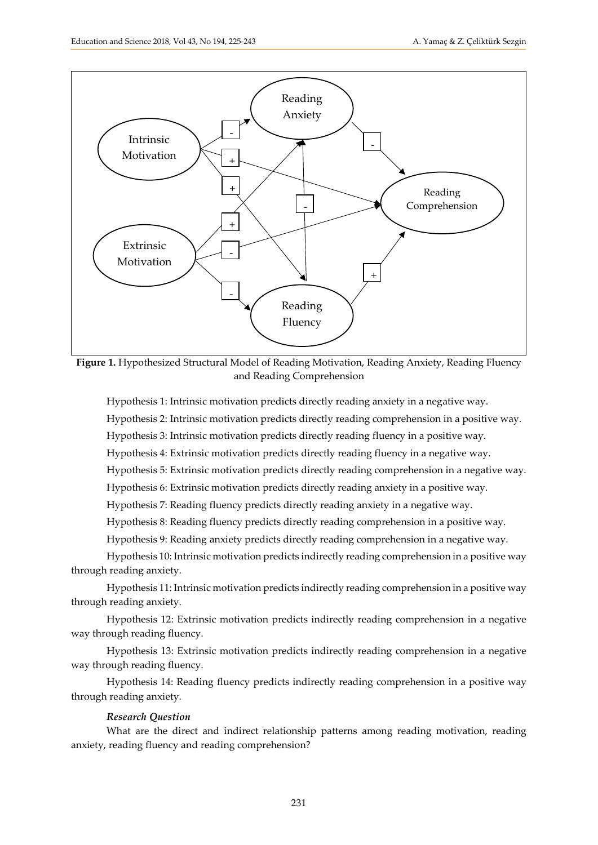

**Figure 1.** Hypothesized Structural Model of Reading Motivation, Reading Anxiety, Reading Fluency and Reading Comprehension

Hypothesis 1: Intrinsic motivation predicts directly reading anxiety in a negative way.

Hypothesis 2: Intrinsic motivation predicts directly reading comprehension in a positive way.

Hypothesis 3: Intrinsic motivation predicts directly reading fluency in a positive way.

Hypothesis 4: Extrinsic motivation predicts directly reading fluency in a negative way.

Hypothesis 5: Extrinsic motivation predicts directly reading comprehension in a negative way.

Hypothesis 6: Extrinsic motivation predicts directly reading anxiety in a positive way.

Hypothesis 7: Reading fluency predicts directly reading anxiety in a negative way.

Hypothesis 8: Reading fluency predicts directly reading comprehension in a positive way.

Hypothesis 9: Reading anxiety predicts directly reading comprehension in a negative way.

Hypothesis 10: Intrinsic motivation predicts indirectly reading comprehension in a positive way through reading anxiety.

Hypothesis 11: Intrinsic motivation predicts indirectly reading comprehension in a positive way through reading anxiety.

Hypothesis 12: Extrinsic motivation predicts indirectly reading comprehension in a negative way through reading fluency.

Hypothesis 13: Extrinsic motivation predicts indirectly reading comprehension in a negative way through reading fluency.

Hypothesis 14: Reading fluency predicts indirectly reading comprehension in a positive way through reading anxiety.

#### *Research Question*

What are the direct and indirect relationship patterns among reading motivation, reading anxiety, reading fluency and reading comprehension?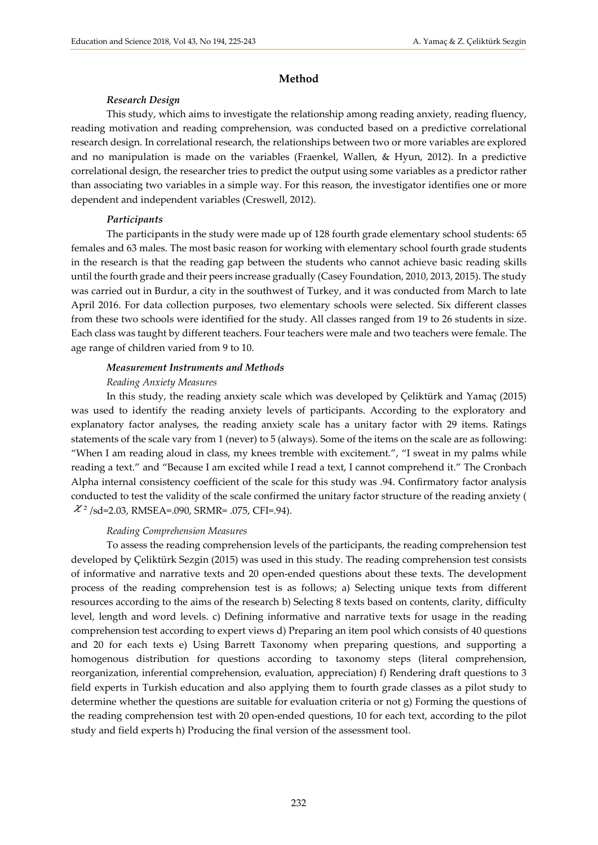#### **Method**

#### *Research Design*

This study, which aims to investigate the relationship among reading anxiety, reading fluency, reading motivation and reading comprehension, was conducted based on a predictive correlational research design. In correlational research, the relationships between two or more variables are explored and no manipulation is made on the variables (Fraenkel, Wallen, & Hyun, 2012). In a predictive correlational design, the researcher tries to predict the output using some variables as a predictor rather than associating two variables in a simple way. For this reason, the investigator identifies one or more dependent and independent variables (Creswell, 2012).

#### *Participants*

The participants in the study were made up of 128 fourth grade elementary school students: 65 females and 63 males. The most basic reason for working with elementary school fourth grade students in the research is that the reading gap between the students who cannot achieve basic reading skills until the fourth grade and their peers increase gradually (Casey Foundation, 2010, 2013, 2015). The study was carried out in Burdur, a city in the southwest of Turkey, and it was conducted from March to late April 2016. For data collection purposes, two elementary schools were selected. Six different classes from these two schools were identified for the study. All classes ranged from 19 to 26 students in size. Each class was taught by different teachers. Four teachers were male and two teachers were female. The age range of children varied from 9 to 10.

#### *Measurement Instruments and Methods*

#### *Reading Anxiety Measures*

In this study, the reading anxiety scale which was developed by Çeliktürk and Yamaç (2015) was used to identify the reading anxiety levels of participants. According to the exploratory and explanatory factor analyses, the reading anxiety scale has a unitary factor with 29 items. Ratings statements of the scale vary from 1 (never) to 5 (always). Some of the items on the scale are as following: "When I am reading aloud in class, my knees tremble with excitement.", "I sweat in my palms while reading a text." and "Because I am excited while I read a text, I cannot comprehend it." The Cronbach Alpha internal consistency coefficient of the scale for this study was .94. Confirmatory factor analysis conducted to test the validity of the scale confirmed the unitary factor structure of the reading anxiety (  $\chi$ <sup>2</sup> /sd=2.03, RMSEA=.090, SRMR= .075, CFI=.94).

#### *Reading Comprehension Measures*

To assess the reading comprehension levels of the participants, the reading comprehension test developed by Çeliktürk Sezgin (2015) was used in this study. The reading comprehension test consists of informative and narrative texts and 20 open-ended questions about these texts. The development process of the reading comprehension test is as follows; a) Selecting unique texts from different resources according to the aims of the research b) Selecting 8 texts based on contents, clarity, difficulty level, length and word levels. c) Defining informative and narrative texts for usage in the reading comprehension test according to expert views d) Preparing an item pool which consists of 40 questions and 20 for each texts e) Using Barrett Taxonomy when preparing questions, and supporting a homogenous distribution for questions according to taxonomy steps (literal comprehension, reorganization, inferential comprehension, evaluation, appreciation) f) Rendering draft questions to 3 field experts in Turkish education and also applying them to fourth grade classes as a pilot study to determine whether the questions are suitable for evaluation criteria or not g) Forming the questions of the reading comprehension test with 20 open-ended questions, 10 for each text, according to the pilot study and field experts h) Producing the final version of the assessment tool.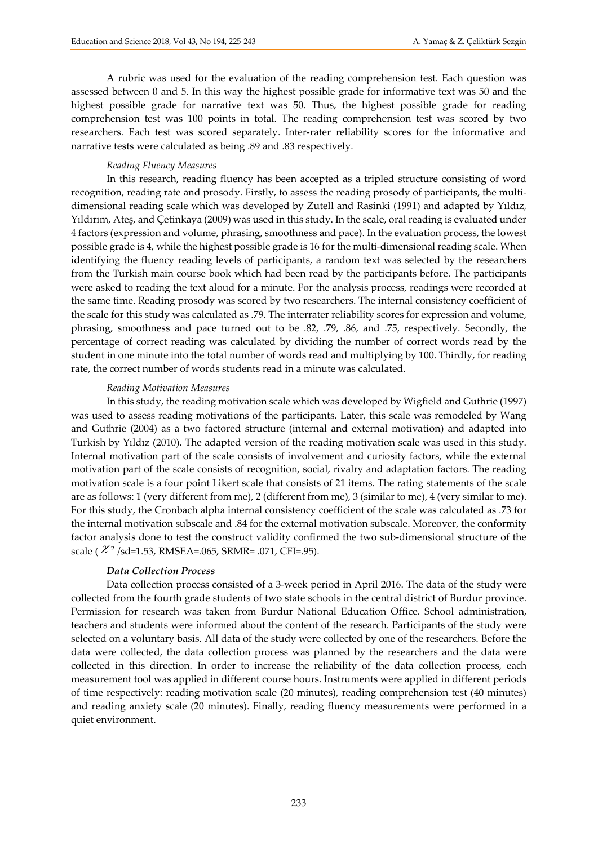A rubric was used for the evaluation of the reading comprehension test. Each question was assessed between 0 and 5. In this way the highest possible grade for informative text was 50 and the highest possible grade for narrative text was 50. Thus, the highest possible grade for reading comprehension test was 100 points in total. The reading comprehension test was scored by two researchers. Each test was scored separately. Inter-rater reliability scores for the informative and narrative tests were calculated as being .89 and .83 respectively.

#### *Reading Fluency Measures*

In this research, reading fluency has been accepted as a tripled structure consisting of word recognition, reading rate and prosody. Firstly, to assess the reading prosody of participants, the multidimensional reading scale which was developed by Zutell and Rasinki (1991) and adapted by Yıldız, Yıldırım, Ateş, and Çetinkaya (2009) was used in this study. In the scale, oral reading is evaluated under 4 factors (expression and volume, phrasing, smoothness and pace). In the evaluation process, the lowest possible grade is 4, while the highest possible grade is 16 for the multi-dimensional reading scale. When identifying the fluency reading levels of participants, a random text was selected by the researchers from the Turkish main course book which had been read by the participants before. The participants were asked to reading the text aloud for a minute. For the analysis process, readings were recorded at the same time. Reading prosody was scored by two researchers. The internal consistency coefficient of the scale for this study was calculated as .79. The interrater reliability scores for expression and volume, phrasing, smoothness and pace turned out to be .82, .79, .86, and .75, respectively. Secondly, the percentage of correct reading was calculated by dividing the number of correct words read by the student in one minute into the total number of words read and multiplying by 100. Thirdly, for reading rate, the correct number of words students read in a minute was calculated.

#### *Reading Motivation Measures*

In this study, the reading motivation scale which was developed by Wigfield and Guthrie (1997) was used to assess reading motivations of the participants. Later, this scale was remodeled by Wang and Guthrie (2004) as a two factored structure (internal and external motivation) and adapted into Turkish by Yıldız (2010). The adapted version of the reading motivation scale was used in this study. Internal motivation part of the scale consists of involvement and curiosity factors, while the external motivation part of the scale consists of recognition, social, rivalry and adaptation factors. The reading motivation scale is a four point Likert scale that consists of 21 items. The rating statements of the scale are as follows: 1 (very different from me), 2 (different from me), 3 (similar to me), 4 (very similar to me). For this study, the Cronbach alpha internal consistency coefficient of the scale was calculated as .73 for the internal motivation subscale and .84 for the external motivation subscale. Moreover, the conformity factor analysis done to test the construct validity confirmed the two sub-dimensional structure of the scale ( $\chi^2$  /sd=1.53, RMSEA=.065, SRMR= .071, CFI=.95).

#### *Data Collection Process*

Data collection process consisted of a 3-week period in April 2016. The data of the study were collected from the fourth grade students of two state schools in the central district of Burdur province. Permission for research was taken from Burdur National Education Office. School administration, teachers and students were informed about the content of the research. Participants of the study were selected on a voluntary basis. All data of the study were collected by one of the researchers. Before the data were collected, the data collection process was planned by the researchers and the data were collected in this direction. In order to increase the reliability of the data collection process, each measurement tool was applied in different course hours. Instruments were applied in different periods of time respectively: reading motivation scale (20 minutes), reading comprehension test (40 minutes) and reading anxiety scale (20 minutes). Finally, reading fluency measurements were performed in a quiet environment.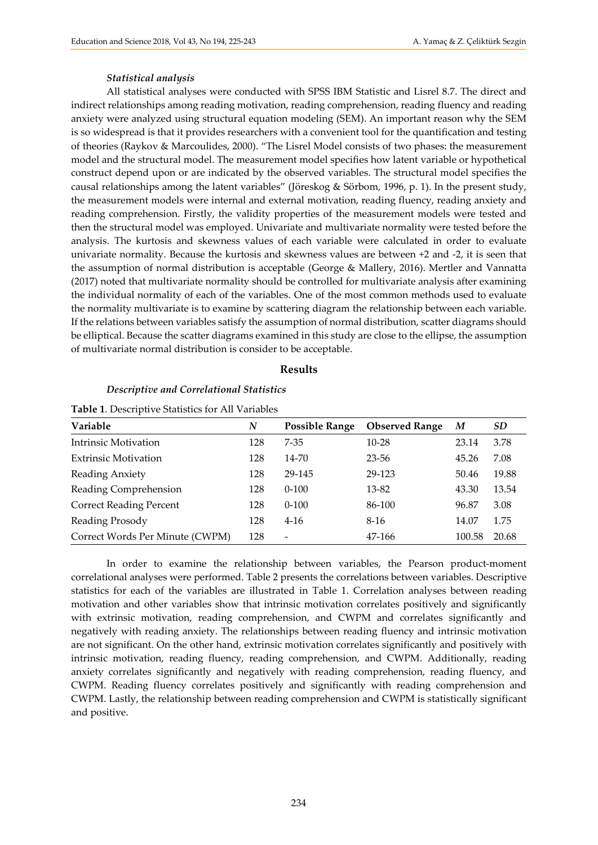#### *Statistical analysis*

All statistical analyses were conducted with SPSS IBM Statistic and Lisrel 8.7. The direct and indirect relationships among reading motivation, reading comprehension, reading fluency and reading anxiety were analyzed using structural equation modeling (SEM). An important reason why the SEM is so widespread is that it provides researchers with a convenient tool for the quantification and testing of theories (Raykov & Marcoulides, 2000). "The Lisrel Model consists of two phases: the measurement model and the structural model. The measurement model specifies how latent variable or hypothetical construct depend upon or are indicated by the observed variables. The structural model specifies the causal relationships among the latent variables" (Jöreskog & Sörbom, 1996, p. 1). In the present study, the measurement models were internal and external motivation, reading fluency, reading anxiety and reading comprehension. Firstly, the validity properties of the measurement models were tested and then the structural model was employed. Univariate and multivariate normality were tested before the analysis. The kurtosis and skewness values of each variable were calculated in order to evaluate univariate normality. Because the kurtosis and skewness values are between +2 and -2, it is seen that the assumption of normal distribution is acceptable (George & Mallery, 2016). Mertler and Vannatta (2017) noted that multivariate normality should be controlled for multivariate analysis after examining the individual normality of each of the variables. One of the most common methods used to evaluate the normality multivariate is to examine by scattering diagram the relationship between each variable. If the relations between variables satisfy the assumption of normal distribution, scatter diagrams should be elliptical. Because the scatter diagrams examined in this study are close to the ellipse, the assumption of multivariate normal distribution is consider to be acceptable.

#### **Results**

# *Descriptive and Correlational Statistics*

| Variable                        | N   | <b>Possible Range</b> | <b>Observed Range</b> | M      | <i>SD</i> |
|---------------------------------|-----|-----------------------|-----------------------|--------|-----------|
| Intrinsic Motivation            | 128 | $7-35$                | $10 - 28$             | 23.14  | 3.78      |
| <b>Extrinsic Motivation</b>     | 128 | $14 - 70$             | 23-56                 | 45.26  | 7.08      |
| Reading Anxiety                 | 128 | 29-145                | 29-123                | 50.46  | 19.88     |
| Reading Comprehension           | 128 | $0 - 100$             | 13-82                 | 43.30  | 13.54     |
| <b>Correct Reading Percent</b>  | 128 | $0 - 100$             | 86-100                | 96.87  | 3.08      |
| Reading Prosody                 | 128 | $4-16$                | $8-16$                | 14.07  | 1.75      |
| Correct Words Per Minute (CWPM) | 128 | -                     | 47-166                | 100.58 | 20.68     |

**Table 1**. Descriptive Statistics for All Variables

In order to examine the relationship between variables, the Pearson product-moment correlational analyses were performed. Table 2 presents the correlations between variables. Descriptive statistics for each of the variables are illustrated in Table 1. Correlation analyses between reading motivation and other variables show that intrinsic motivation correlates positively and significantly with extrinsic motivation, reading comprehension, and CWPM and correlates significantly and negatively with reading anxiety. The relationships between reading fluency and intrinsic motivation are not significant. On the other hand, extrinsic motivation correlates significantly and positively with intrinsic motivation, reading fluency, reading comprehension, and CWPM. Additionally, reading anxiety correlates significantly and negatively with reading comprehension, reading fluency, and CWPM. Reading fluency correlates positively and significantly with reading comprehension and CWPM. Lastly, the relationship between reading comprehension and CWPM is statistically significant and positive.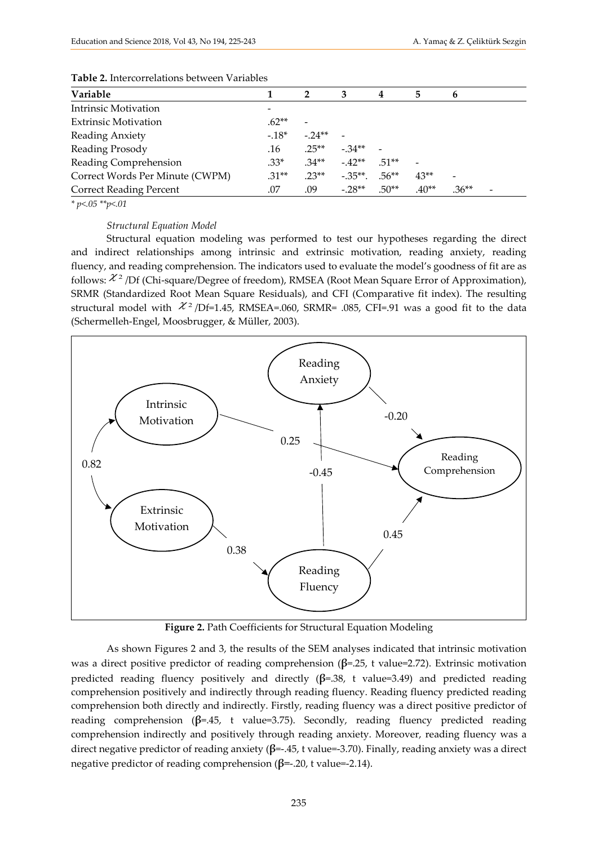| TUDIC E HRCICOITCRRIOID DUINCEIL I MIRDICD |         |          |            |         |         |         |  |  |  |
|--------------------------------------------|---------|----------|------------|---------|---------|---------|--|--|--|
| Variable                                   |         | 2        | 3          | 4       | 5       | b       |  |  |  |
| <b>Intrinsic Motivation</b>                |         |          |            |         |         |         |  |  |  |
| <b>Extrinsic Motivation</b>                | $.62**$ |          |            |         |         |         |  |  |  |
| Reading Anxiety                            | $-.18*$ | $-.24**$ |            |         |         |         |  |  |  |
| Reading Prosody                            | .16     | $.25**$  | $-.34**$   |         |         |         |  |  |  |
| Reading Comprehension                      | $.33*$  | $.34**$  | $-42**$    | $51**$  |         |         |  |  |  |
| Correct Words Per Minute (CWPM)            | $.31**$ | $.23**$  | $-.35**$ . | $.56**$ | $43**$  |         |  |  |  |
| <b>Correct Reading Percent</b>             | .07     | .09      | $-.28**$   | $.50**$ | $.40**$ | $.36**$ |  |  |  |

#### **Table 2.** Intercorrelations between Variables

*\* p<.05 \*\*p<.01*

#### *Structural Equation Model*

Structural equation modeling was performed to test our hypotheses regarding the direct and indirect relationships among intrinsic and extrinsic motivation, reading anxiety, reading fluency, and reading comprehension. The indicators used to evaluate the model's goodness of fit are as follows:  $\mathcal{X}^2$  /Df (Chi-square/Degree of freedom), RMSEA (Root Mean Square Error of Approximation), SRMR (Standardized Root Mean Square Residuals), and CFI (Comparative fit index). The resulting structural model with  $\mathcal{X}^2$  /Df=1.45, RMSEA=.060, SRMR= .085, CFI=.91 was a good fit to the data (Schermelleh-Engel, Moosbrugger, & Müller, 2003).



**Figure 2.** Path Coefficients for Structural Equation Modeling

As shown Figures 2 and 3, the results of the SEM analyses indicated that intrinsic motivation was a direct positive predictor of reading comprehension (**β**=.25, t value=2.72). Extrinsic motivation predicted reading fluency positively and directly (**β**=.38, t value=3.49) and predicted reading comprehension positively and indirectly through reading fluency. Reading fluency predicted reading comprehension both directly and indirectly. Firstly, reading fluency was a direct positive predictor of reading comprehension (**β**=.45, t value=3.75). Secondly, reading fluency predicted reading comprehension indirectly and positively through reading anxiety. Moreover, reading fluency was a direct negative predictor of reading anxiety (**β**=-.45, t value=-3.70). Finally, reading anxiety was a direct negative predictor of reading comprehension (**β**=-.20, t value=-2.14).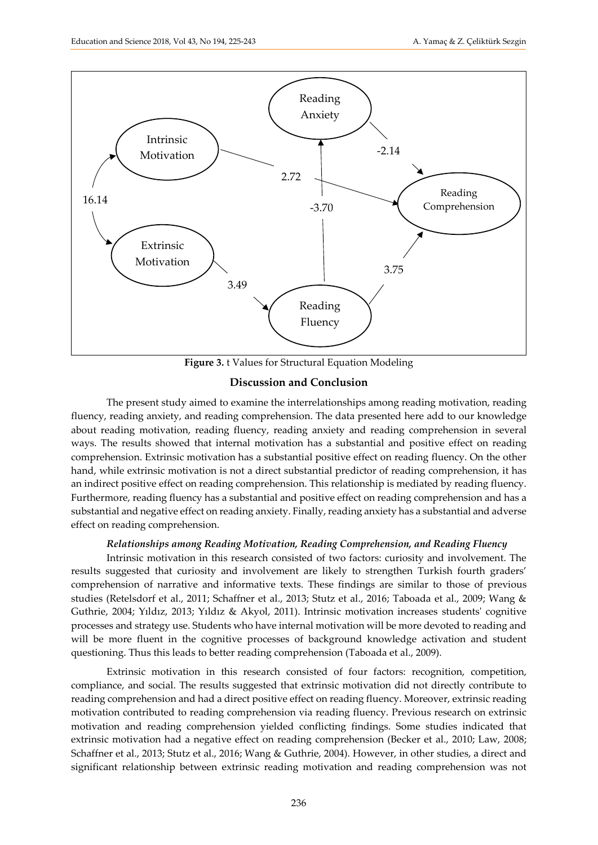

**Figure 3.** t Values for Structural Equation Modeling

## **Discussion and Conclusion**

The present study aimed to examine the interrelationships among reading motivation, reading fluency, reading anxiety, and reading comprehension. The data presented here add to our knowledge about reading motivation, reading fluency, reading anxiety and reading comprehension in several ways. The results showed that internal motivation has a substantial and positive effect on reading comprehension. Extrinsic motivation has a substantial positive effect on reading fluency. On the other hand, while extrinsic motivation is not a direct substantial predictor of reading comprehension, it has an indirect positive effect on reading comprehension. This relationship is mediated by reading fluency. Furthermore, reading fluency has a substantial and positive effect on reading comprehension and has a substantial and negative effect on reading anxiety. Finally, reading anxiety has a substantial and adverse effect on reading comprehension.

### *Relationships among Reading Motivation, Reading Comprehension, and Reading Fluency*

Intrinsic motivation in this research consisted of two factors: curiosity and involvement. The results suggested that curiosity and involvement are likely to strengthen Turkish fourth graders' comprehension of narrative and informative texts. These findings are similar to those of previous studies (Retelsdorf et al., 2011; Schaffner et al., 2013; Stutz et al., 2016; Taboada et al., 2009; Wang & Guthrie, 2004; Yıldız, 2013; Yıldız & Akyol, 2011). Intrinsic motivation increases students' cognitive processes and strategy use. Students who have internal motivation will be more devoted to reading and will be more fluent in the cognitive processes of background knowledge activation and student questioning. Thus this leads to better reading comprehension (Taboada et al., 2009).

Extrinsic motivation in this research consisted of four factors: recognition, competition, compliance, and social. The results suggested that extrinsic motivation did not directly contribute to reading comprehension and had a direct positive effect on reading fluency. Moreover, extrinsic reading motivation contributed to reading comprehension via reading fluency. Previous research on extrinsic motivation and reading comprehension yielded conflicting findings. Some studies indicated that extrinsic motivation had a negative effect on reading comprehension (Becker et al., 2010; Law, 2008; Schaffner et al., 2013; Stutz et al., 2016; Wang & Guthrie, 2004). However, in other studies, a direct and significant relationship between extrinsic reading motivation and reading comprehension was not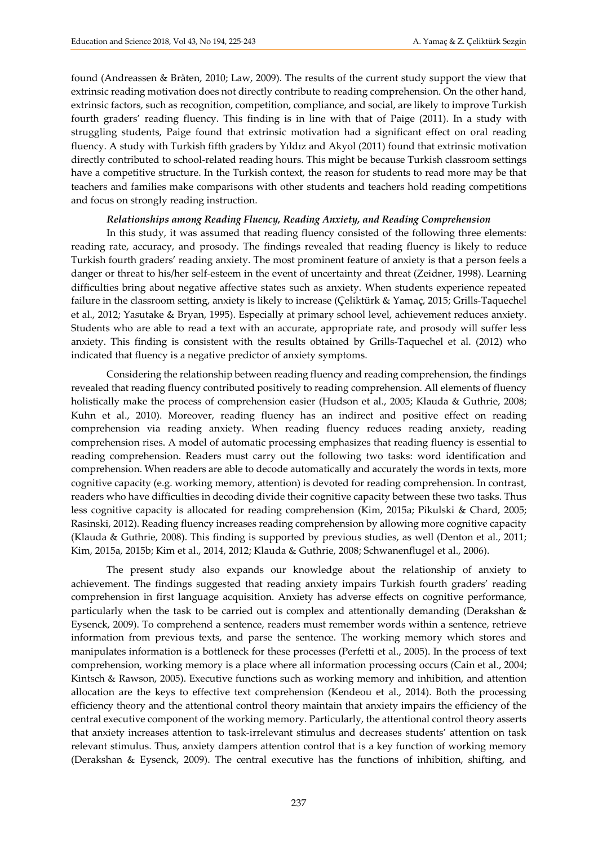found (Andreassen & Bråten, 2010; Law, 2009). The results of the current study support the view that extrinsic reading motivation does not directly contribute to reading comprehension. On the other hand, extrinsic factors, such as recognition, competition, compliance, and social, are likely to improve Turkish fourth graders' reading fluency. This finding is in line with that of Paige (2011). In a study with struggling students, Paige found that extrinsic motivation had a significant effect on oral reading fluency. A study with Turkish fifth graders by Yıldız and Akyol (2011) found that extrinsic motivation directly contributed to school-related reading hours. This might be because Turkish classroom settings have a competitive structure. In the Turkish context, the reason for students to read more may be that teachers and families make comparisons with other students and teachers hold reading competitions and focus on strongly reading instruction.

#### *Relationships among Reading Fluency, Reading Anxiety, and Reading Comprehension*

In this study, it was assumed that reading fluency consisted of the following three elements: reading rate, accuracy, and prosody. The findings revealed that reading fluency is likely to reduce Turkish fourth graders' reading anxiety. The most prominent feature of anxiety is that a person feels a danger or threat to his/her self-esteem in the event of uncertainty and threat (Zeidner, 1998). Learning difficulties bring about negative affective states such as anxiety. When students experience repeated failure in the classroom setting, anxiety is likely to increase (Çeliktürk & Yamaç, 2015; Grills-Taquechel et al., 2012; Yasutake & Bryan, 1995). Especially at primary school level, achievement reduces anxiety. Students who are able to read a text with an accurate, appropriate rate, and prosody will suffer less anxiety. This finding is consistent with the results obtained by Grills-Taquechel et al. (2012) who indicated that fluency is a negative predictor of anxiety symptoms.

Considering the relationship between reading fluency and reading comprehension, the findings revealed that reading fluency contributed positively to reading comprehension. All elements of fluency holistically make the process of comprehension easier (Hudson et al., 2005; Klauda & Guthrie, 2008; Kuhn et al., 2010). Moreover, reading fluency has an indirect and positive effect on reading comprehension via reading anxiety. When reading fluency reduces reading anxiety, reading comprehension rises. A model of automatic processing emphasizes that reading fluency is essential to reading comprehension. Readers must carry out the following two tasks: word identification and comprehension. When readers are able to decode automatically and accurately the words in texts, more cognitive capacity (e.g. working memory, attention) is devoted for reading comprehension. In contrast, readers who have difficulties in decoding divide their cognitive capacity between these two tasks. Thus less cognitive capacity is allocated for reading comprehension (Kim, 2015a; Pikulski & Chard, 2005; Rasinski, 2012). Reading fluency increases reading comprehension by allowing more cognitive capacity (Klauda & Guthrie, 2008). This finding is supported by previous studies, as well (Denton et al., 2011; Kim, 2015a, 2015b; Kim et al., 2014, 2012; Klauda & Guthrie, 2008; Schwanenflugel et al., 2006).

The present study also expands our knowledge about the relationship of anxiety to achievement. The findings suggested that reading anxiety impairs Turkish fourth graders' reading comprehension in first language acquisition. Anxiety has adverse effects on cognitive performance, particularly when the task to be carried out is complex and attentionally demanding (Derakshan & Eysenck, 2009). To comprehend a sentence, readers must remember words within a sentence, retrieve information from previous texts, and parse the sentence. The working memory which stores and manipulates information is a bottleneck for these processes (Perfetti et al., 2005). In the process of text comprehension, working memory is a place where all information processing occurs (Cain et al., 2004; Kintsch & Rawson, 2005). Executive functions such as working memory and inhibition, and attention allocation are the keys to effective text comprehension (Kendeou et al., 2014). Both the processing efficiency theory and the attentional control theory maintain that anxiety impairs the efficiency of the central executive component of the working memory. Particularly, the attentional control theory asserts that anxiety increases attention to task-irrelevant stimulus and decreases students' attention on task relevant stimulus. Thus, anxiety dampers attention control that is a key function of working memory (Derakshan & Eysenck, 2009). The central executive has the functions of inhibition, shifting, and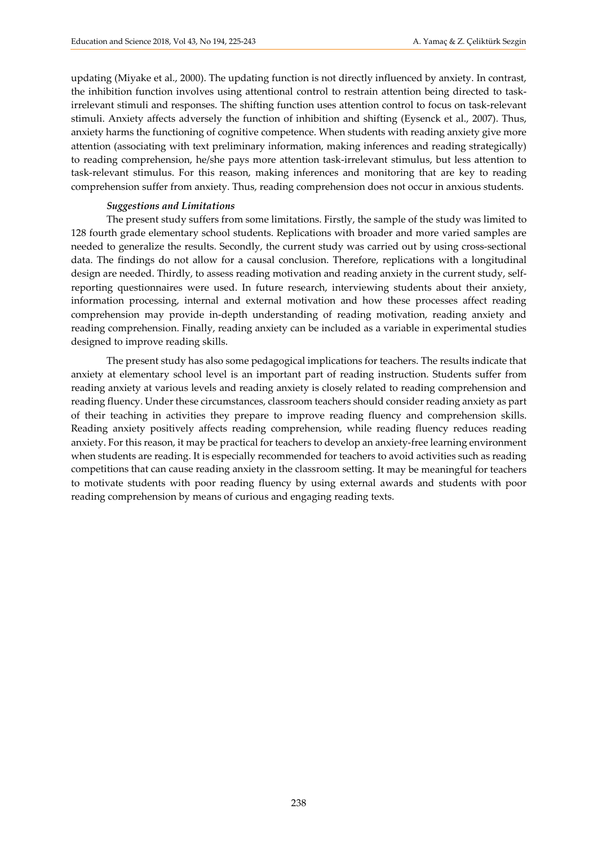updating (Miyake et al., 2000). The updating function is not directly influenced by anxiety. In contrast, the inhibition function involves using attentional control to restrain attention being directed to taskirrelevant stimuli and responses. The shifting function uses attention control to focus on task-relevant stimuli. Anxiety affects adversely the function of inhibition and shifting (Eysenck et al., 2007). Thus, anxiety harms the functioning of cognitive competence. When students with reading anxiety give more attention (associating with text preliminary information, making inferences and reading strategically) to reading comprehension, he/she pays more attention task-irrelevant stimulus, but less attention to task-relevant stimulus. For this reason, making inferences and monitoring that are key to reading comprehension suffer from anxiety. Thus, reading comprehension does not occur in anxious students.

#### *Suggestions and Limitations*

The present study suffers from some limitations. Firstly, the sample of the study was limited to 128 fourth grade elementary school students. Replications with broader and more varied samples are needed to generalize the results. Secondly, the current study was carried out by using cross-sectional data. The findings do not allow for a causal conclusion. Therefore, replications with a longitudinal design are needed. Thirdly, to assess reading motivation and reading anxiety in the current study, selfreporting questionnaires were used. In future research, interviewing students about their anxiety, information processing, internal and external motivation and how these processes affect reading comprehension may provide in-depth understanding of reading motivation, reading anxiety and reading comprehension. Finally, reading anxiety can be included as a variable in experimental studies designed to improve reading skills.

The present study has also some pedagogical implications for teachers. The results indicate that anxiety at elementary school level is an important part of reading instruction. Students suffer from reading anxiety at various levels and reading anxiety is closely related to reading comprehension and reading fluency. Under these circumstances, classroom teachers should consider reading anxiety as part of their teaching in activities they prepare to improve reading fluency and comprehension skills. Reading anxiety positively affects reading comprehension, while reading fluency reduces reading anxiety. For this reason, it may be practical for teachers to develop an anxiety-free learning environment when students are reading. It is especially recommended for teachers to avoid activities such as reading competitions that can cause reading anxiety in the classroom setting. It may be meaningful for teachers to motivate students with poor reading fluency by using external awards and students with poor reading comprehension by means of curious and engaging reading texts.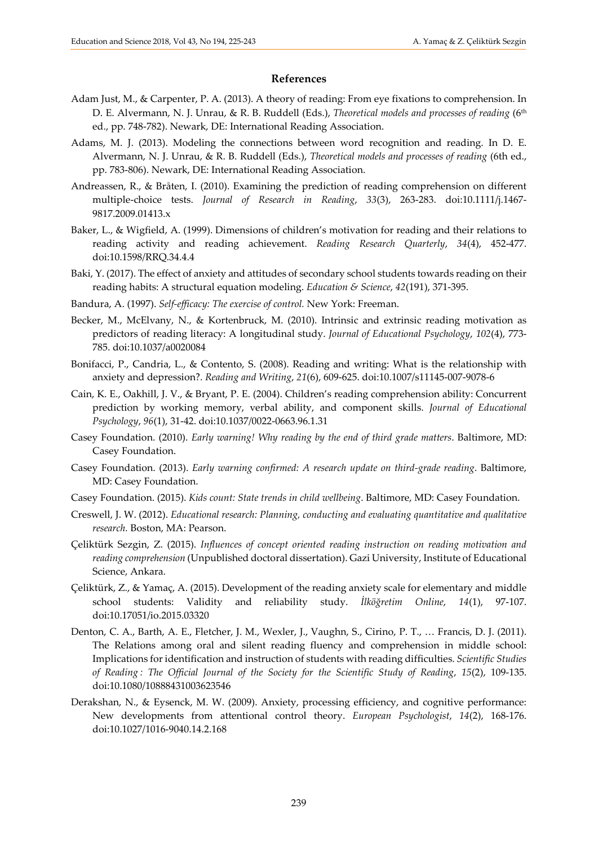#### **References**

- Adam Just, M., & Carpenter, P. A. (2013). A theory of reading: From eye fixations to comprehension. In D. E. Alvermann, N. J. Unrau, & R. B. Ruddell (Eds.), *Theoretical models and processes of reading* (6<sup>th</sup> ed., pp. 748-782). Newark, DE: International Reading Association.
- Adams, M. J. (2013). Modeling the connections between word recognition and reading. In D. E. Alvermann, N. J. Unrau, & R. B. Ruddell (Eds.), *Theoretical models and processes of reading* (6th ed., pp. 783-806). Newark, DE: International Reading Association.
- Andreassen, R., & Bråten, I. (2010). Examining the prediction of reading comprehension on different multiple-choice tests. *Journal of Research in Reading*, *33*(3), 263-283. doi:10.1111/j.1467- 9817.2009.01413.x
- Baker, L., & Wigfield, A. (1999). Dimensions of children's motivation for reading and their relations to reading activity and reading achievement. *Reading Research Quarterly*, *34*(4), 452-477. doi:10.1598/RRQ.34.4.4
- Baki, Y. (2017). The effect of anxiety and attitudes of secondary school students towards reading on their reading habits: A structural equation modeling. *Education & Science*, *42*(191), 371-395.
- Bandura, A. (1997). *Self-efficacy: The exercise of control.* New York: Freeman.
- Becker, M., McElvany, N., & Kortenbruck, M. (2010). Intrinsic and extrinsic reading motivation as predictors of reading literacy: A longitudinal study. *Journal of Educational Psychology*, *102*(4), 773- 785. doi:10.1037/a0020084
- Bonifacci, P., Candria, L., & Contento, S. (2008). Reading and writing: What is the relationship with anxiety and depression?. *Reading and Writing*, *21*(6), 609-625. doi:10.1007/s11145-007-9078-6
- Cain, K. E., Oakhill, J. V., & Bryant, P. E. (2004). Children's reading comprehension ability: Concurrent prediction by working memory, verbal ability, and component skills. *Journal of Educational Psychology*, *96*(1), 31-42. doi:10.1037/0022-0663.96.1.31
- Casey Foundation. (2010). *Early warning! Why reading by the end of third grade matters*. Baltimore, MD: Casey Foundation.
- Casey Foundation. (2013). *Early warning confirmed: A research update on third-grade reading*. Baltimore, MD: Casey Foundation.
- Casey Foundation. (2015). *Kids count: State trends in child wellbeing*. Baltimore, MD: Casey Foundation.
- Creswell, J. W. (2012). *Educational research: Planning, conducting and evaluating quantitative and qualitative research.* Boston, MA: Pearson.
- Çeliktürk Sezgin, Z. (2015). *Influences of concept oriented reading instruction on reading motivation and reading comprehension* (Unpublished doctoral dissertation). Gazi University, Institute of Educational Science, Ankara.
- Çeliktürk, Z., & Yamaç, A. (2015). Development of the reading anxiety scale for elementary and middle school students: Validity and reliability study. *İlköğretim Online*, *14*(1), 97-107. doi:10.17051/io.2015.03320
- Denton, C. A., Barth, A. E., Fletcher, J. M., Wexler, J., Vaughn, S., Cirino, P. T., … Francis, D. J. (2011). The Relations among oral and silent reading fluency and comprehension in middle school: Implications for identification and instruction of students with reading difficulties. *Scientific Studies of Reading : The Official Journal of the Society for the Scientific Study of Reading*, *15*(2), 109-135. doi:10.1080/10888431003623546
- Derakshan, N., & Eysenck, M. W. (2009). Anxiety, processing efficiency, and cognitive performance: New developments from attentional control theory. *European Psychologist*, *14*(2), 168-176. doi:10.1027/1016-9040.14.2.168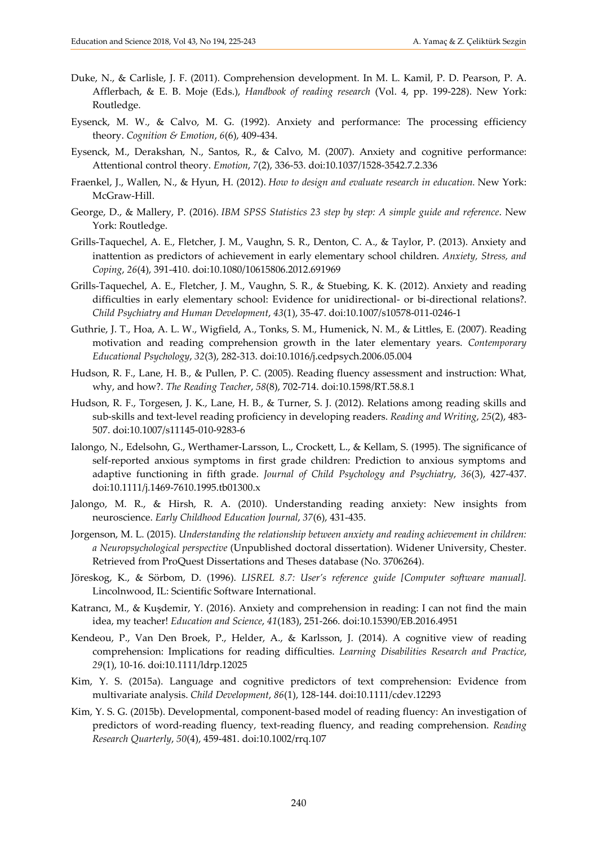- Duke, N., & Carlisle, J. F. (2011). Comprehension development. In M. L. Kamil, P. D. Pearson, P. A. Afflerbach, & E. B. Moje (Eds.), *Handbook of reading research* (Vol. 4, pp. 199-228). New York: Routledge.
- Eysenck, M. W., & Calvo, M. G. (1992). Anxiety and performance: The processing efficiency theory. *Cognition & Emotion*, *6*(6), 409-434.
- Eysenck, M., Derakshan, N., Santos, R., & Calvo, M. (2007). Anxiety and cognitive performance: Attentional control theory. *Emotion*, *7*(2), 336-53. doi:10.1037/1528-3542.7.2.336
- Fraenkel, J., Wallen, N., & Hyun, H. (2012). *[How to design and evaluate research in education.](http://www.amazon.com/How-Design-Evaluate-Research-Education/dp/0078097851/ref=sr_1_1?s=books&ie=UTF8&qid=1314706148&sr=1-1)* New York: McGraw-Hill.
- George, D., & Mallery, P. (2016). *IBM SPSS Statistics 23 step by step: A simple guide and reference*. New York: Routledge.
- Grills-Taquechel, A. E., Fletcher, J. M., Vaughn, S. R., Denton, C. A., & Taylor, P. (2013). Anxiety and inattention as predictors of achievement in early elementary school children. *Anxiety, Stress, and Coping*, *26*(4), 391-410. doi:10.1080/10615806.2012.691969
- Grills-Taquechel, A. E., Fletcher, J. M., Vaughn, S. R., & Stuebing, K. K. (2012). Anxiety and reading difficulties in early elementary school: Evidence for unidirectional- or bi-directional relations?. *Child Psychiatry and Human Development*, *43*(1), 35-47. doi:10.1007/s10578-011-0246-1
- Guthrie, J. T., Hoa, A. L. W., Wigfield, A., Tonks, S. M., Humenick, N. M., & Littles, E. (2007). Reading motivation and reading comprehension growth in the later elementary years. *Contemporary Educational Psychology*, *32*(3), 282-313. doi:10.1016/j.cedpsych.2006.05.004
- Hudson, R. F., Lane, H. B., & Pullen, P. C. (2005). Reading fluency assessment and instruction: What, why, and how?. *The Reading Teacher*, *58*(8), 702-714. doi:10.1598/RT.58.8.1
- Hudson, R. F., Torgesen, J. K., Lane, H. B., & Turner, S. J. (2012). Relations among reading skills and sub-skills and text-level reading proficiency in developing readers. *Reading and Writing*, *25*(2), 483- 507. doi:10.1007/s11145-010-9283-6
- Ialongo, N., Edelsohn, G., Werthamer-Larsson, L., Crockett, L., & Kellam, S. (1995). The significance of self-reported anxious symptoms in first grade children: Prediction to anxious symptoms and adaptive functioning in fifth grade. *Journal of Child Psychology and Psychiatry*, *36*(3), 427-437. doi:10.1111/j.1469-7610.1995.tb01300.x
- Jalongo, M. R., & Hirsh, R. A. (2010). Understanding reading anxiety: New insights from neuroscience. *Early Childhood Education Journal*, *37*(6), 431-435.
- Jorgenson, M. L. (2015). *Understanding the relationship between anxiety and reading achievement in children: a Neuropsychological perspective* (Unpublished doctoral dissertation). Widener University, Chester. Retrieved from ProQuest Dissertations and Theses database (No. 3706264).
- Jöreskog, K., & Sörbom, D. (1996). *LISREL 8.7: User's reference guide [Computer software manual].*  Lincolnwood, IL: Scientific Software International.
- Katrancı, M., & Kuşdemir, Y. (2016). Anxiety and comprehension in reading: I can not find the main idea, my teacher! *Education and Science*, *41*(183), 251-266. doi:10.15390/EB.2016.4951
- Kendeou, P., Van Den Broek, P., Helder, A., & Karlsson, J. (2014). A cognitive view of reading comprehension: Implications for reading difficulties. *Learning Disabilities Research and Practice*, *29*(1), 10-16. doi:10.1111/ldrp.12025
- Kim, Y. S. (2015a). Language and cognitive predictors of text comprehension: Evidence from multivariate analysis. *Child Development*, *86*(1), 128-144. doi:10.1111/cdev.12293
- Kim, Y. S. G. (2015b). Developmental, component-based model of reading fluency: An investigation of predictors of word-reading fluency, text-reading fluency, and reading comprehension. *Reading Research Quarterly*, *50*(4), 459-481. doi:10.1002/rrq.107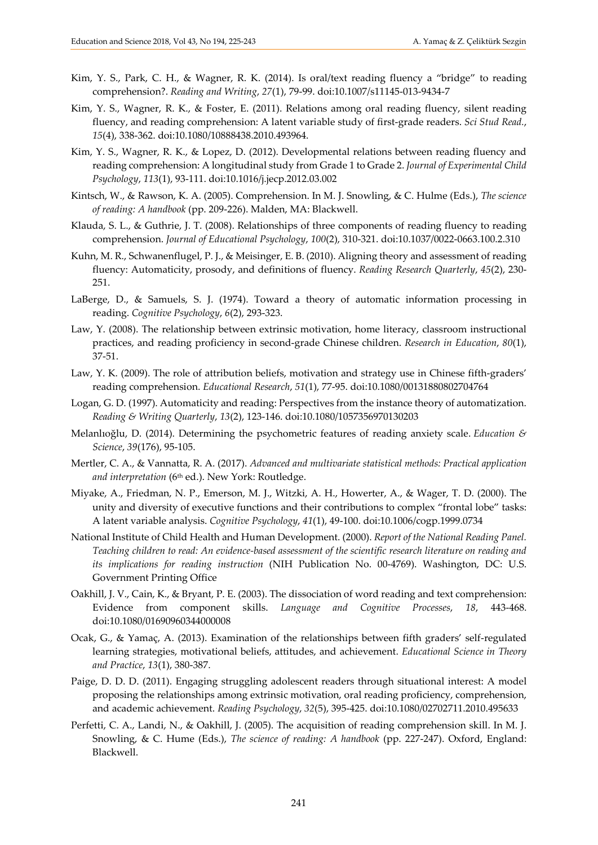- Kim, Y. S., Park, C. H., & Wagner, R. K. (2014). Is oral/text reading fluency a "bridge" to reading comprehension?. *Reading and Writing*, *27*(1), 79-99. doi:10.1007/s11145-013-9434-7
- Kim, Y. S., Wagner, R. K., & Foster, E. (2011). Relations among oral reading fluency, silent reading fluency, and reading comprehension: A latent variable study of first-grade readers. *Sci Stud Read.*, *15*(4), 338-362. doi:10.1080/10888438.2010.493964.
- Kim, Y. S., Wagner, R. K., & Lopez, D. (2012). Developmental relations between reading fluency and reading comprehension: A longitudinal study from Grade 1 to Grade 2. *Journal of Experimental Child Psychology*, *113*(1), 93-111. doi:10.1016/j.jecp.2012.03.002
- Kintsch, W., & Rawson, K. A. (2005). Comprehension. In M. J. Snowling, & C. Hulme (Eds.), *The science of reading: A handbook* (pp. 209-226). Malden, MA: Blackwell.
- Klauda, S. L., & Guthrie, J. T. (2008). Relationships of three components of reading fluency to reading comprehension. *Journal of Educational Psychology*, *100*(2), 310-321. doi:10.1037/0022-0663.100.2.310
- Kuhn, M. R., Schwanenflugel, P. J., & Meisinger, E. B. (2010). Aligning theory and assessment of reading fluency: Automaticity, prosody, and definitions of fluency. *Reading Research Quarterly*, *45*(2), 230- 251.
- LaBerge, D., & Samuels, S. J. (1974). Toward a theory of automatic information processing in reading. *Cognitive Psychology*, *6*(2), 293-323.
- Law, Y. (2008). The relationship between extrinsic motivation, home literacy, classroom instructional practices, and reading proficiency in second-grade Chinese children. *Research in Education*, *80*(1), 37-51.
- Law, Y. K. (2009). The role of attribution beliefs, motivation and strategy use in Chinese fifth-graders' reading comprehension. *Educational Research*, *51*(1), 77-95. doi:10.1080/00131880802704764
- Logan, G. D. (1997). Automaticity and reading: Perspectives from the instance theory of automatization. *Reading & Writing Quarterly*, *13*(2), 123-146. doi:10.1080/1057356970130203
- Melanlıoğlu, D. (2014). Determining the psychometric features of reading anxiety scale. *Education & Science*, *39*(176), 95-105.
- Mertler, C. A., & Vannatta, R. A. (2017). *Advanced and multivariate statistical methods: Practical application*  and interpretation (6<sup>th</sup> ed.). New York: Routledge.
- Miyake, A., Friedman, N. P., Emerson, M. J., Witzki, A. H., Howerter, A., & Wager, T. D. (2000). The unity and diversity of executive functions and their contributions to complex "frontal lobe" tasks: A latent variable analysis. *Cognitive Psychology*, *41*(1), 49-100. doi:10.1006/cogp.1999.0734
- National Institute of Child Health and Human Development. (2000). *Report of the National Reading Panel. Teaching children to read: An evidence-based assessment of the scientific research literature on reading and its implications for reading instruction* (NIH Publication No. 00-4769). Washington, DC: U.S. Government Printing Office
- Oakhill, J. V., Cain, K., & Bryant, P. E. (2003). The dissociation of word reading and text comprehension: Evidence from component skills. *Language and Cognitive Processes*, *18*, 443-468. doi:10.1080/01690960344000008
- Ocak, G., & Yamaç, A. (2013). Examination of the relationships between fifth graders' self-regulated learning strategies, motivational beliefs, attitudes, and achievement. *Educational Science in Theory and Practice*, *13*(1), 380-387.
- Paige, D. D. D. (2011). Engaging struggling adolescent readers through situational interest: A model proposing the relationships among extrinsic motivation, oral reading proficiency, comprehension, and academic achievement. *Reading Psychology*, *32*(5), 395-425. doi:10.1080/02702711.2010.495633
- Perfetti, C. A., Landi, N., & Oakhill, J. (2005). The acquisition of reading comprehension skill. In M. J. Snowling, & C. Hume (Eds.), *The science of reading: A handbook* (pp. 227-247). Oxford, England: Blackwell.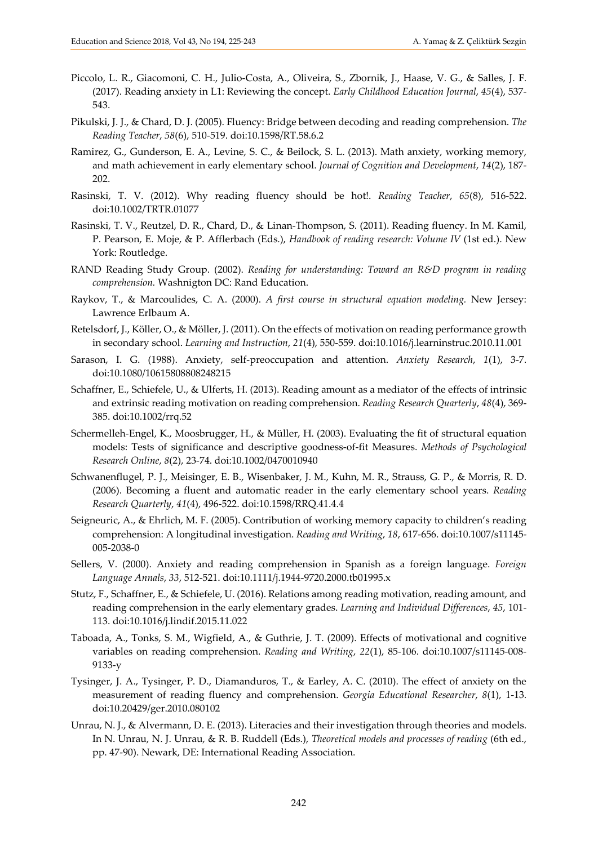- Piccolo, L. R., Giacomoni, C. H., Julio-Costa, A., Oliveira, S., Zbornik, J., Haase, V. G., & Salles, J. F. (2017). Reading anxiety in L1: Reviewing the concept. *Early Childhood Education Journal*, *45*(4), 537- 543.
- Pikulski, J. J., & Chard, D. J. (2005). Fluency: Bridge between decoding and reading comprehension. *The Reading Teacher*, *58*(6), 510-519. doi:10.1598/RT.58.6.2
- Ramirez, G., Gunderson, E. A., Levine, S. C., & Beilock, S. L. (2013). Math anxiety, working memory, and math achievement in early elementary school. *Journal of Cognition and Development*, *14*(2), 187- 202.
- Rasinski, T. V. (2012). Why reading fluency should be hot!. *Reading Teacher*, *65*(8), 516-522. doi:10.1002/TRTR.01077
- Rasinski, T. V., Reutzel, D. R., Chard, D., & Linan-Thompson, S. (2011). Reading fluency. In M. Kamil, P. Pearson, E. Moje, & P. Afflerbach (Eds.), *Handbook of reading research: Volume IV* (1st ed.). New York: Routledge.
- RAND Reading Study Group. (2002). *Reading for understanding: Toward an R&D program in reading comprehension.* Washnigton DC: Rand Education.
- Raykov, T., & Marcoulides, C. A. (2000). *A first course in structural equation modeling.* New Jersey: Lawrence Erlbaum A.
- Retelsdorf, J., Köller, O., & Möller, J. (2011). On the effects of motivation on reading performance growth in secondary school. *Learning and Instruction*, *21*(4), 550-559. doi:10.1016/j.learninstruc.2010.11.001
- Sarason, I. G. (1988). Anxiety, self-preoccupation and attention. *Anxiety Research*, *1*(1), 3-7. doi:10.1080/10615808808248215
- Schaffner, E., Schiefele, U., & Ulferts, H. (2013). Reading amount as a mediator of the effects of intrinsic and extrinsic reading motivation on reading comprehension. *Reading Research Quarterly*, *48*(4), 369- 385. doi:10.1002/rrq.52
- Schermelleh-Engel, K., Moosbrugger, H., & Müller, H. (2003). Evaluating the fit of structural equation models: Tests of significance and descriptive goodness-of-fit Measures. *Methods of Psychological Research Online*, *8*(2), 23-74. doi:10.1002/0470010940
- Schwanenflugel, P. J., Meisinger, E. B., Wisenbaker, J. M., Kuhn, M. R., Strauss, G. P., & Morris, R. D. (2006). Becoming a fluent and automatic reader in the early elementary school years. *Reading Research Quarterly*, *41*(4), 496-522. doi:10.1598/RRQ.41.4.4
- Seigneuric, A., & Ehrlich, M. F. (2005). Contribution of working memory capacity to children's reading comprehension: A longitudinal investigation. *Reading and Writing*, *18*, 617-656. doi:10.1007/s11145- 005-2038-0
- Sellers, V. (2000). Anxiety and reading comprehension in Spanish as a foreign language. *Foreign Language Annals*, *33*, 512-521. doi:10.1111/j.1944-9720.2000.tb01995.x
- Stutz, F., Schaffner, E., & Schiefele, U. (2016). Relations among reading motivation, reading amount, and reading comprehension in the early elementary grades. *Learning and Individual Differences*, *45*, 101- 113. doi:10.1016/j.lindif.2015.11.022
- Taboada, A., Tonks, S. M., Wigfield, A., & Guthrie, J. T. (2009). Effects of motivational and cognitive variables on reading comprehension. *Reading and Writing*, *22*(1), 85-106. doi:10.1007/s11145-008- 9133-y
- Tysinger, J. A., Tysinger, P. D., Diamanduros, T., & Earley, A. C. (2010). The effect of anxiety on the measurement of reading fluency and comprehension. *Georgia Educational Researcher*, *8*(1), 1-13. doi:10.20429/ger.2010.080102
- Unrau, N. J., & Alvermann, D. E. (2013). Literacies and their investigation through theories and models. In N. Unrau, N. J. Unrau, & R. B. Ruddell (Eds.), *Theoretical models and processes of reading* (6th ed., pp. 47-90). Newark, DE: International Reading Association.